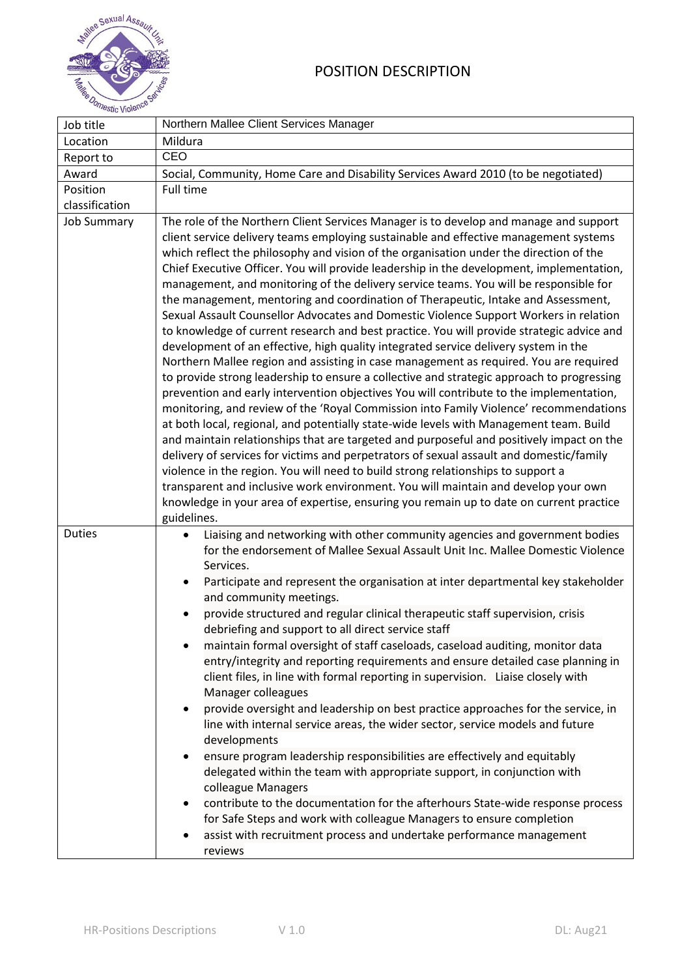

| Job title          | Northern Mallee Client Services Manager                                                                                                                                                                                                                                                                                                                                                                                                                                                                                                                                                                                                                                                                                                                                                                                                                                                                                                                                                                                                                                                                                                                                                                                                                                                                                                                                                                                                                                                                                                                                                                                                                                                                                                                        |
|--------------------|----------------------------------------------------------------------------------------------------------------------------------------------------------------------------------------------------------------------------------------------------------------------------------------------------------------------------------------------------------------------------------------------------------------------------------------------------------------------------------------------------------------------------------------------------------------------------------------------------------------------------------------------------------------------------------------------------------------------------------------------------------------------------------------------------------------------------------------------------------------------------------------------------------------------------------------------------------------------------------------------------------------------------------------------------------------------------------------------------------------------------------------------------------------------------------------------------------------------------------------------------------------------------------------------------------------------------------------------------------------------------------------------------------------------------------------------------------------------------------------------------------------------------------------------------------------------------------------------------------------------------------------------------------------------------------------------------------------------------------------------------------------|
| Location           | Mildura                                                                                                                                                                                                                                                                                                                                                                                                                                                                                                                                                                                                                                                                                                                                                                                                                                                                                                                                                                                                                                                                                                                                                                                                                                                                                                                                                                                                                                                                                                                                                                                                                                                                                                                                                        |
| Report to          | CEO                                                                                                                                                                                                                                                                                                                                                                                                                                                                                                                                                                                                                                                                                                                                                                                                                                                                                                                                                                                                                                                                                                                                                                                                                                                                                                                                                                                                                                                                                                                                                                                                                                                                                                                                                            |
| Award              | Social, Community, Home Care and Disability Services Award 2010 (to be negotiated)                                                                                                                                                                                                                                                                                                                                                                                                                                                                                                                                                                                                                                                                                                                                                                                                                                                                                                                                                                                                                                                                                                                                                                                                                                                                                                                                                                                                                                                                                                                                                                                                                                                                             |
| Position           | Full time                                                                                                                                                                                                                                                                                                                                                                                                                                                                                                                                                                                                                                                                                                                                                                                                                                                                                                                                                                                                                                                                                                                                                                                                                                                                                                                                                                                                                                                                                                                                                                                                                                                                                                                                                      |
| classification     |                                                                                                                                                                                                                                                                                                                                                                                                                                                                                                                                                                                                                                                                                                                                                                                                                                                                                                                                                                                                                                                                                                                                                                                                                                                                                                                                                                                                                                                                                                                                                                                                                                                                                                                                                                |
| <b>Job Summary</b> | The role of the Northern Client Services Manager is to develop and manage and support<br>client service delivery teams employing sustainable and effective management systems<br>which reflect the philosophy and vision of the organisation under the direction of the<br>Chief Executive Officer. You will provide leadership in the development, implementation,<br>management, and monitoring of the delivery service teams. You will be responsible for<br>the management, mentoring and coordination of Therapeutic, Intake and Assessment,<br>Sexual Assault Counsellor Advocates and Domestic Violence Support Workers in relation<br>to knowledge of current research and best practice. You will provide strategic advice and<br>development of an effective, high quality integrated service delivery system in the<br>Northern Mallee region and assisting in case management as required. You are required<br>to provide strong leadership to ensure a collective and strategic approach to progressing<br>prevention and early intervention objectives You will contribute to the implementation,<br>monitoring, and review of the 'Royal Commission into Family Violence' recommendations<br>at both local, regional, and potentially state-wide levels with Management team. Build<br>and maintain relationships that are targeted and purposeful and positively impact on the<br>delivery of services for victims and perpetrators of sexual assault and domestic/family<br>violence in the region. You will need to build strong relationships to support a<br>transparent and inclusive work environment. You will maintain and develop your own<br>knowledge in your area of expertise, ensuring you remain up to date on current practice |
|                    | guidelines.                                                                                                                                                                                                                                                                                                                                                                                                                                                                                                                                                                                                                                                                                                                                                                                                                                                                                                                                                                                                                                                                                                                                                                                                                                                                                                                                                                                                                                                                                                                                                                                                                                                                                                                                                    |
| <b>Duties</b>      | Liaising and networking with other community agencies and government bodies<br>for the endorsement of Mallee Sexual Assault Unit Inc. Mallee Domestic Violence<br>Services.<br>Participate and represent the organisation at inter departmental key stakeholder<br>and community meetings.<br>provide structured and regular clinical therapeutic staff supervision, crisis<br>debriefing and support to all direct service staff<br>maintain formal oversight of staff caseloads, caseload auditing, monitor data<br>entry/integrity and reporting requirements and ensure detailed case planning in<br>client files, in line with formal reporting in supervision. Liaise closely with<br>Manager colleagues<br>provide oversight and leadership on best practice approaches for the service, in<br>٠<br>line with internal service areas, the wider sector, service models and future<br>developments<br>ensure program leadership responsibilities are effectively and equitably<br>$\bullet$<br>delegated within the team with appropriate support, in conjunction with<br>colleague Managers<br>contribute to the documentation for the afterhours State-wide response process<br>for Safe Steps and work with colleague Managers to ensure completion<br>assist with recruitment process and undertake performance management<br>reviews                                                                                                                                                                                                                                                                                                                                                                                                                |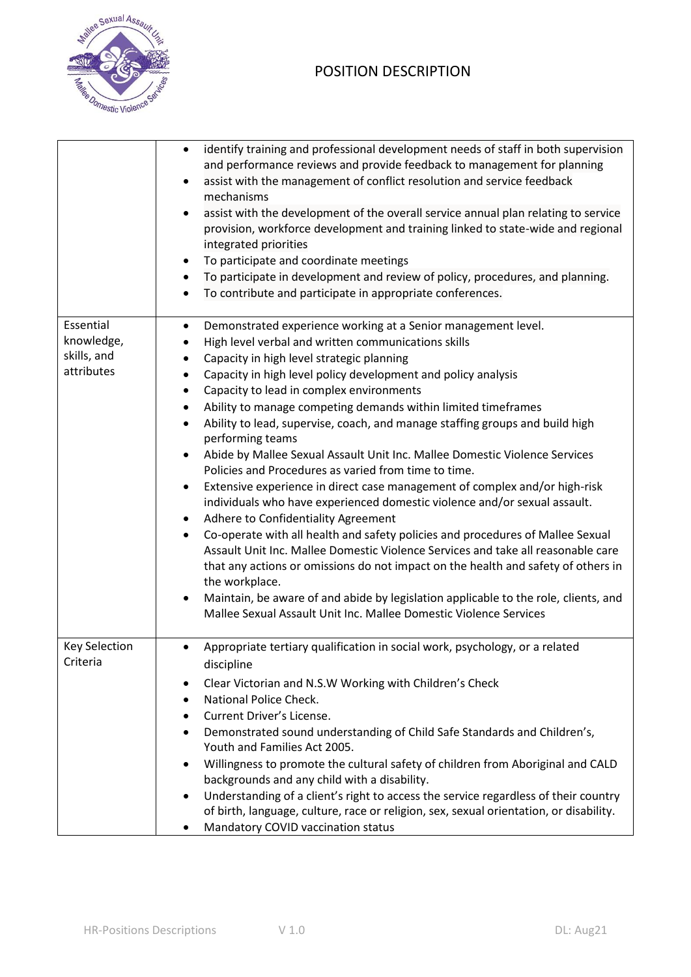

## POSITION DESCRIPTION

|                                                      | identify training and professional development needs of staff in both supervision<br>and performance reviews and provide feedback to management for planning<br>assist with the management of conflict resolution and service feedback<br>$\bullet$<br>mechanisms<br>assist with the development of the overall service annual plan relating to service<br>٠<br>provision, workforce development and training linked to state-wide and regional<br>integrated priorities<br>To participate and coordinate meetings<br>٠<br>To participate in development and review of policy, procedures, and planning.<br>٠<br>To contribute and participate in appropriate conferences.<br>$\bullet$                                                                                                                                                                                                                                                                                                                                                                                                                                                                                                                                                                                                                                   |
|------------------------------------------------------|---------------------------------------------------------------------------------------------------------------------------------------------------------------------------------------------------------------------------------------------------------------------------------------------------------------------------------------------------------------------------------------------------------------------------------------------------------------------------------------------------------------------------------------------------------------------------------------------------------------------------------------------------------------------------------------------------------------------------------------------------------------------------------------------------------------------------------------------------------------------------------------------------------------------------------------------------------------------------------------------------------------------------------------------------------------------------------------------------------------------------------------------------------------------------------------------------------------------------------------------------------------------------------------------------------------------------|
| Essential<br>knowledge,<br>skills, and<br>attributes | Demonstrated experience working at a Senior management level.<br>$\bullet$<br>High level verbal and written communications skills<br>Capacity in high level strategic planning<br>Capacity in high level policy development and policy analysis<br>Capacity to lead in complex environments<br>$\bullet$<br>Ability to manage competing demands within limited timeframes<br>٠<br>Ability to lead, supervise, coach, and manage staffing groups and build high<br>٠<br>performing teams<br>Abide by Mallee Sexual Assault Unit Inc. Mallee Domestic Violence Services<br>$\bullet$<br>Policies and Procedures as varied from time to time.<br>Extensive experience in direct case management of complex and/or high-risk<br>$\bullet$<br>individuals who have experienced domestic violence and/or sexual assault.<br>Adhere to Confidentiality Agreement<br>٠<br>Co-operate with all health and safety policies and procedures of Mallee Sexual<br>٠<br>Assault Unit Inc. Mallee Domestic Violence Services and take all reasonable care<br>that any actions or omissions do not impact on the health and safety of others in<br>the workplace.<br>Maintain, be aware of and abide by legislation applicable to the role, clients, and<br>$\bullet$<br>Mallee Sexual Assault Unit Inc. Mallee Domestic Violence Services |
| <b>Key Selection</b><br>Criteria                     | Appropriate tertiary qualification in social work, psychology, or a related<br>$\bullet$<br>discipline<br>Clear Victorian and N.S.W Working with Children's Check<br>National Police Check.<br>Current Driver's License.<br>Demonstrated sound understanding of Child Safe Standards and Children's,<br>Youth and Families Act 2005.<br>Willingness to promote the cultural safety of children from Aboriginal and CALD<br>٠<br>backgrounds and any child with a disability.<br>Understanding of a client's right to access the service regardless of their country<br>$\bullet$<br>of birth, language, culture, race or religion, sex, sexual orientation, or disability.<br>Mandatory COVID vaccination status<br>٠                                                                                                                                                                                                                                                                                                                                                                                                                                                                                                                                                                                                     |